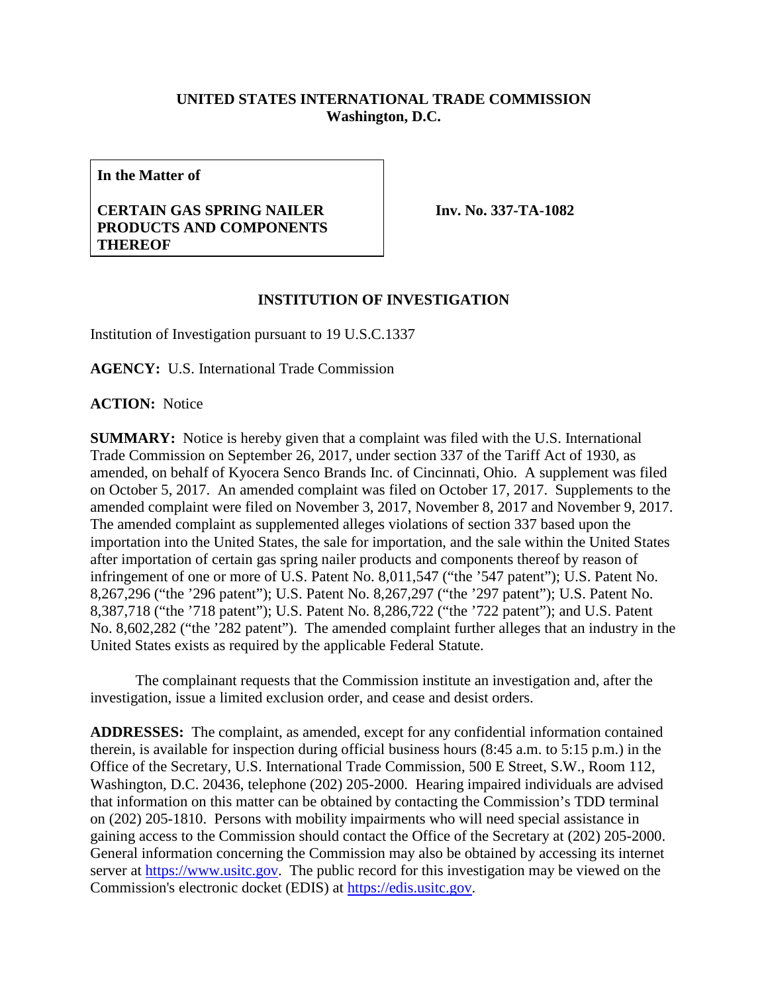## **UNITED STATES INTERNATIONAL TRADE COMMISSION Washington, D.C.**

**In the Matter of**

## **CERTAIN GAS SPRING NAILER PRODUCTS AND COMPONENTS THEREOF**

**Inv. No. 337-TA-1082**

## **INSTITUTION OF INVESTIGATION**

Institution of Investigation pursuant to 19 U.S.C.1337

**AGENCY:** U.S. International Trade Commission

**ACTION:** Notice

**SUMMARY:** Notice is hereby given that a complaint was filed with the U.S. International Trade Commission on September 26, 2017, under section 337 of the Tariff Act of 1930, as amended, on behalf of Kyocera Senco Brands Inc. of Cincinnati, Ohio. A supplement was filed on October 5, 2017. An amended complaint was filed on October 17, 2017. Supplements to the amended complaint were filed on November 3, 2017, November 8, 2017 and November 9, 2017. The amended complaint as supplemented alleges violations of section 337 based upon the importation into the United States, the sale for importation, and the sale within the United States after importation of certain gas spring nailer products and components thereof by reason of infringement of one or more of U.S. Patent No. 8,011,547 ("the '547 patent"); U.S. Patent No. 8,267,296 ("the '296 patent"); U.S. Patent No. 8,267,297 ("the '297 patent"); U.S. Patent No. 8,387,718 ("the '718 patent"); U.S. Patent No. 8,286,722 ("the '722 patent"); and U.S. Patent No. 8,602,282 ("the '282 patent"). The amended complaint further alleges that an industry in the United States exists as required by the applicable Federal Statute.

The complainant requests that the Commission institute an investigation and, after the investigation, issue a limited exclusion order, and cease and desist orders.

**ADDRESSES:** The complaint, as amended, except for any confidential information contained therein, is available for inspection during official business hours (8:45 a.m. to 5:15 p.m.) in the Office of the Secretary, U.S. International Trade Commission, 500 E Street, S.W., Room 112, Washington, D.C. 20436, telephone (202) 205-2000. Hearing impaired individuals are advised that information on this matter can be obtained by contacting the Commission's TDD terminal on (202) 205-1810. Persons with mobility impairments who will need special assistance in gaining access to the Commission should contact the Office of the Secretary at (202) 205-2000. General information concerning the Commission may also be obtained by accessing its internet server at [https://www.usitc.gov.](https://www.usitc.gov/) The public record for this investigation may be viewed on the Commission's electronic docket (EDIS) at [https://edis.usitc.gov.](https://edis.usitc.gov/)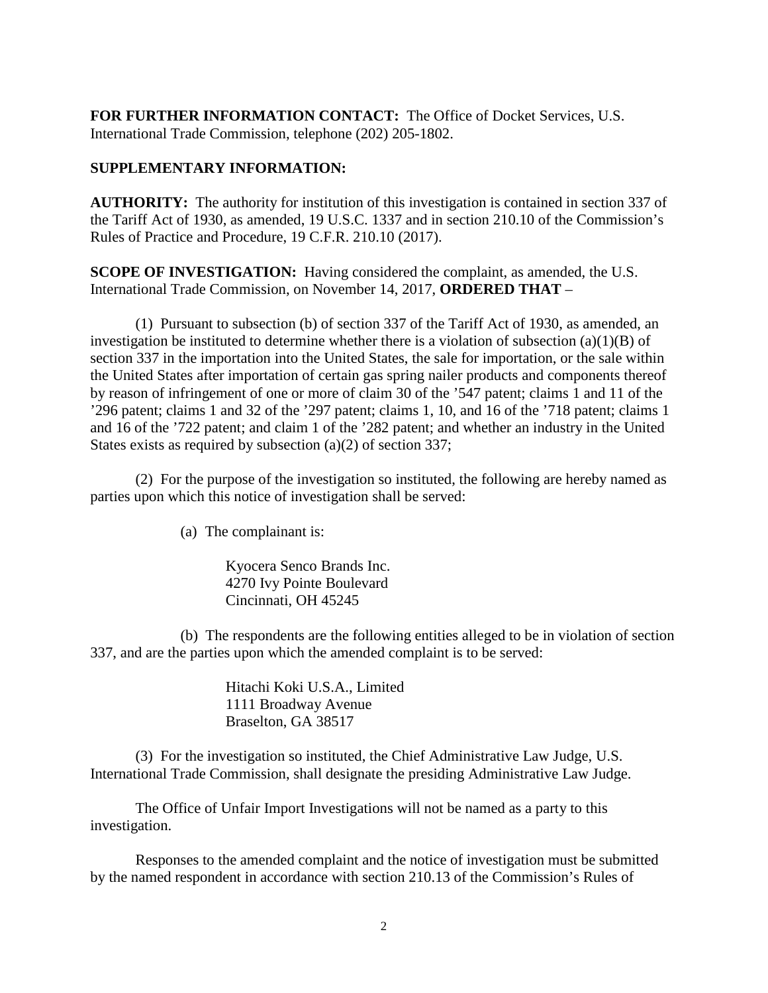**FOR FURTHER INFORMATION CONTACT:** The Office of Docket Services, U.S. International Trade Commission, telephone (202) 205-1802.

## **SUPPLEMENTARY INFORMATION:**

**AUTHORITY:** The authority for institution of this investigation is contained in section 337 of the Tariff Act of 1930, as amended, 19 U.S.C. 1337 and in section 210.10 of the Commission's Rules of Practice and Procedure, 19 C.F.R. 210.10 (2017).

**SCOPE OF INVESTIGATION:** Having considered the complaint, as amended, the U.S. International Trade Commission, on November 14, 2017, **ORDERED THAT** –

(1) Pursuant to subsection (b) of section 337 of the Tariff Act of 1930, as amended, an investigation be instituted to determine whether there is a violation of subsection (a)(1)(B) of section 337 in the importation into the United States, the sale for importation, or the sale within the United States after importation of certain gas spring nailer products and components thereof by reason of infringement of one or more of claim 30 of the '547 patent; claims 1 and 11 of the '296 patent; claims 1 and 32 of the '297 patent; claims 1, 10, and 16 of the '718 patent; claims 1 and 16 of the '722 patent; and claim 1 of the '282 patent; and whether an industry in the United States exists as required by subsection (a)(2) of section 337;

(2) For the purpose of the investigation so instituted, the following are hereby named as parties upon which this notice of investigation shall be served:

(a) The complainant is:

Kyocera Senco Brands Inc. 4270 Ivy Pointe Boulevard Cincinnati, OH 45245

(b) The respondents are the following entities alleged to be in violation of section 337, and are the parties upon which the amended complaint is to be served:

> Hitachi Koki U.S.A., Limited 1111 Broadway Avenue Braselton, GA 38517

(3) For the investigation so instituted, the Chief Administrative Law Judge, U.S. International Trade Commission, shall designate the presiding Administrative Law Judge.

The Office of Unfair Import Investigations will not be named as a party to this investigation.

Responses to the amended complaint and the notice of investigation must be submitted by the named respondent in accordance with section 210.13 of the Commission's Rules of